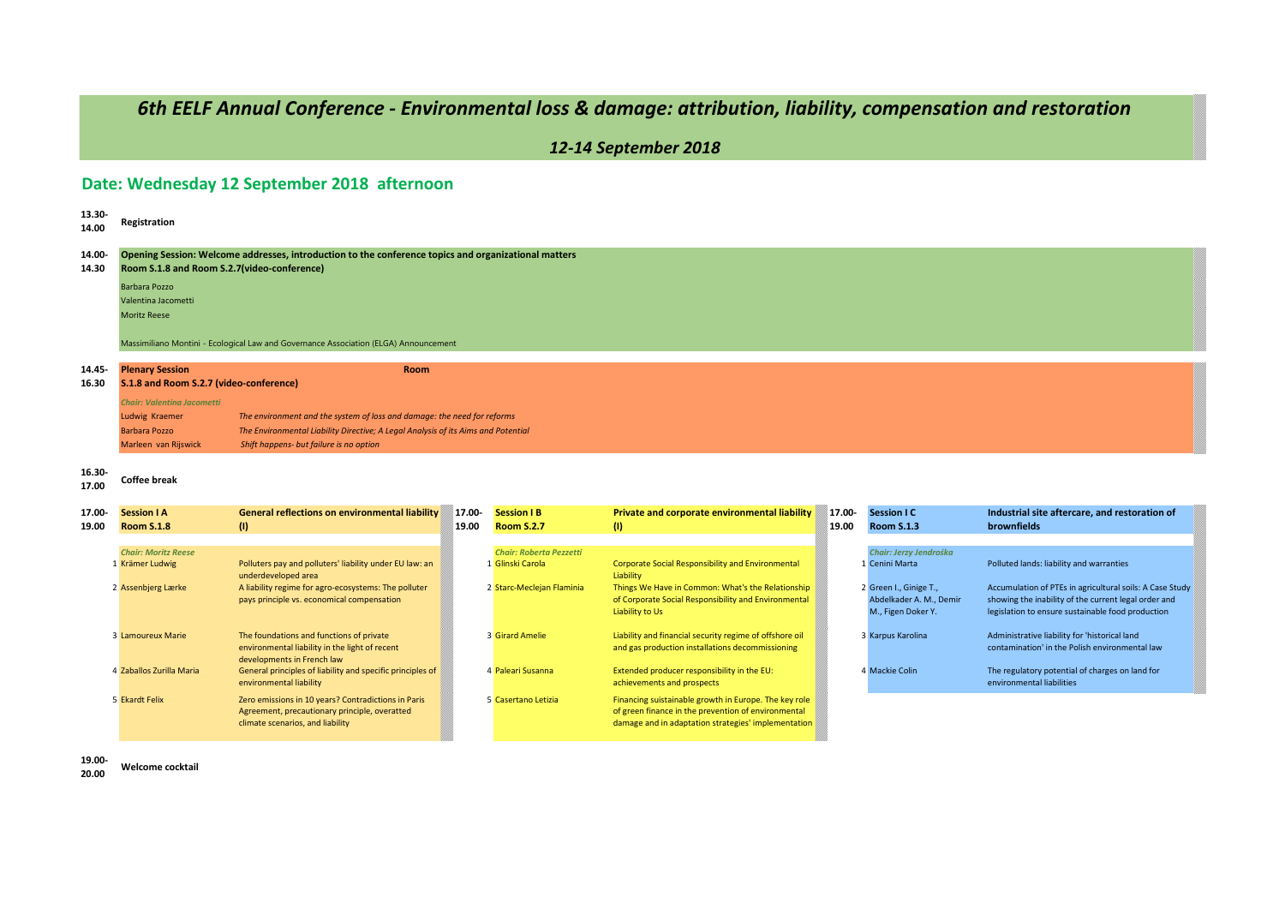# *6th EELF Annual Conference - Environmental loss & damage: attribution, liability, compensation and restoration*

*12-14 September 2018*

### **Date: Wednesday 12 September 2018 afternoon**

| 13.30-<br>14.00 | Registration                                                                                                                                        |                                                                                      |        |                                |                                                                       |        |                         |                                                          |  |  |  |
|-----------------|-----------------------------------------------------------------------------------------------------------------------------------------------------|--------------------------------------------------------------------------------------|--------|--------------------------------|-----------------------------------------------------------------------|--------|-------------------------|----------------------------------------------------------|--|--|--|
| 14.00-<br>14.30 | Opening Session: Welcome addresses, introduction to the conference topics and organizational matters<br>Room S.1.8 and Room S.2.7(video-conference) |                                                                                      |        |                                |                                                                       |        |                         |                                                          |  |  |  |
|                 | Barbara Pozzo                                                                                                                                       |                                                                                      |        |                                |                                                                       |        |                         |                                                          |  |  |  |
|                 | Valentina Jacometti                                                                                                                                 |                                                                                      |        |                                |                                                                       |        |                         |                                                          |  |  |  |
|                 | <b>Moritz Reese</b>                                                                                                                                 |                                                                                      |        |                                |                                                                       |        |                         |                                                          |  |  |  |
|                 |                                                                                                                                                     |                                                                                      |        |                                |                                                                       |        |                         |                                                          |  |  |  |
|                 |                                                                                                                                                     | Massimiliano Montini - Ecological Law and Governance Association (ELGA) Announcement |        |                                |                                                                       |        |                         |                                                          |  |  |  |
|                 |                                                                                                                                                     |                                                                                      |        |                                |                                                                       |        |                         |                                                          |  |  |  |
| 14.45-          | <b>Plenary Session</b>                                                                                                                              | <b>Room</b>                                                                          |        |                                |                                                                       |        |                         |                                                          |  |  |  |
| 16.30           | S.1.8 and Room S.2.7 (video-conference)                                                                                                             |                                                                                      |        |                                |                                                                       |        |                         |                                                          |  |  |  |
|                 | <b>Chair: Valentina Jacometti</b>                                                                                                                   |                                                                                      |        |                                |                                                                       |        |                         |                                                          |  |  |  |
|                 | Ludwig Kraemer                                                                                                                                      | The environment and the system of loss and damage: the need for reforms              |        |                                |                                                                       |        |                         |                                                          |  |  |  |
|                 | <b>Barbara Pozzo</b>                                                                                                                                | The Environmental Liability Directive; A Legal Analysis of its Aims and Potential    |        |                                |                                                                       |        |                         |                                                          |  |  |  |
|                 | Marleen van Rijswick                                                                                                                                | Shift happens- but failure is no option                                              |        |                                |                                                                       |        |                         |                                                          |  |  |  |
| 16.30-<br>17.00 | <b>Coffee break</b>                                                                                                                                 |                                                                                      |        |                                |                                                                       |        |                         |                                                          |  |  |  |
| 17.00-          | <b>Session I A</b>                                                                                                                                  | <b>General reflections on environmental liability</b>                                | 17.00- | <b>Session I B</b>             | Private and corporate environmental liability                         | 17.00- | <b>Session I C</b>      | Industrial site aftercare, and restoration of            |  |  |  |
| 19.00           | <b>Room S.1.8</b>                                                                                                                                   | (1)<br>19.00                                                                         |        | <b>Room S.2.7</b>              | (1)                                                                   | 19.00  | <b>Room S.1.3</b>       | brownfields                                              |  |  |  |
|                 |                                                                                                                                                     |                                                                                      |        |                                |                                                                       |        |                         |                                                          |  |  |  |
|                 | <b>Chair: Moritz Reese</b>                                                                                                                          |                                                                                      |        | <b>Chair: Roberta Pezzetti</b> |                                                                       |        | Chair: Jerzy Jendrośka  |                                                          |  |  |  |
|                 | 1 Krämer Ludwig                                                                                                                                     | Polluters pay and polluters' liability under EU law: an<br>underdeveloped area       |        | 1 Glinski Carola               | <b>Corporate Social Responsibility and Environmental</b><br>Liability |        | 1 Cenini Marta          | Polluted lands: liability and warranties                 |  |  |  |
|                 | 2 Assenbjerg Lærke                                                                                                                                  | A liability regime for agro-ecosystems: The polluter                                 |        | 2 Starc-Meclejan Flaminia      | Things We Have in Common: What's the Relationship                     |        | 2 Green I., Ginige T.,  | Accumulation of PTEs in agricultural soils: A Case Study |  |  |  |
|                 |                                                                                                                                                     | pays principle vs. economical compensation                                           |        |                                | of Corporate Social Responsibility and Environmental                  |        | Abdelkader A. M., Demir | showing the inability of the current legal order and     |  |  |  |
|                 |                                                                                                                                                     |                                                                                      |        |                                | Liability to Us                                                       |        | M., Figen Doker Y.      | legislation to ensure sustainable food production        |  |  |  |
|                 | 3 Lamoureux Marie                                                                                                                                   | The foundations and functions of private                                             |        | <b>3 Girard Amelie</b>         | Liability and financial security regime of offshore oil               |        |                         | Administrative liability for 'historical land            |  |  |  |
|                 |                                                                                                                                                     | environmental liability in the light of recent                                       |        |                                | and gas production installations decommissioning                      |        | 3 Karpus Karolina       | contamination' in the Polish environmental law           |  |  |  |
|                 |                                                                                                                                                     | developments in French law                                                           |        |                                |                                                                       |        |                         |                                                          |  |  |  |
|                 | 4 Zaballos Zurilla Maria                                                                                                                            | General principles of liability and specific principles of                           |        | 4 Paleari Susanna              | Extended producer responsibility in the EU:                           |        | 4 Mackie Colin          | The regulatory potential of charges on land for          |  |  |  |
|                 |                                                                                                                                                     | environmental liability                                                              |        |                                | achievements and prospects                                            |        |                         | environmental liabilities                                |  |  |  |
|                 | 5 Ekardt Felix                                                                                                                                      | Zero emissions in 10 years? Contradictions in Paris                                  |        | 5 Casertano Letizia            | Financing suistainable growth in Europe. The key role                 |        |                         |                                                          |  |  |  |
|                 |                                                                                                                                                     | Agreement, precautionary principle, overatted                                        |        |                                | of green finance in the prevention of environmental                   |        |                         |                                                          |  |  |  |
|                 |                                                                                                                                                     | climate scenarios, and liability                                                     |        |                                | damage and in adaptation strategies' implementation                   |        |                         |                                                          |  |  |  |
|                 |                                                                                                                                                     |                                                                                      |        |                                |                                                                       |        |                         |                                                          |  |  |  |

**19.00- 20.00 Welcome cocktail**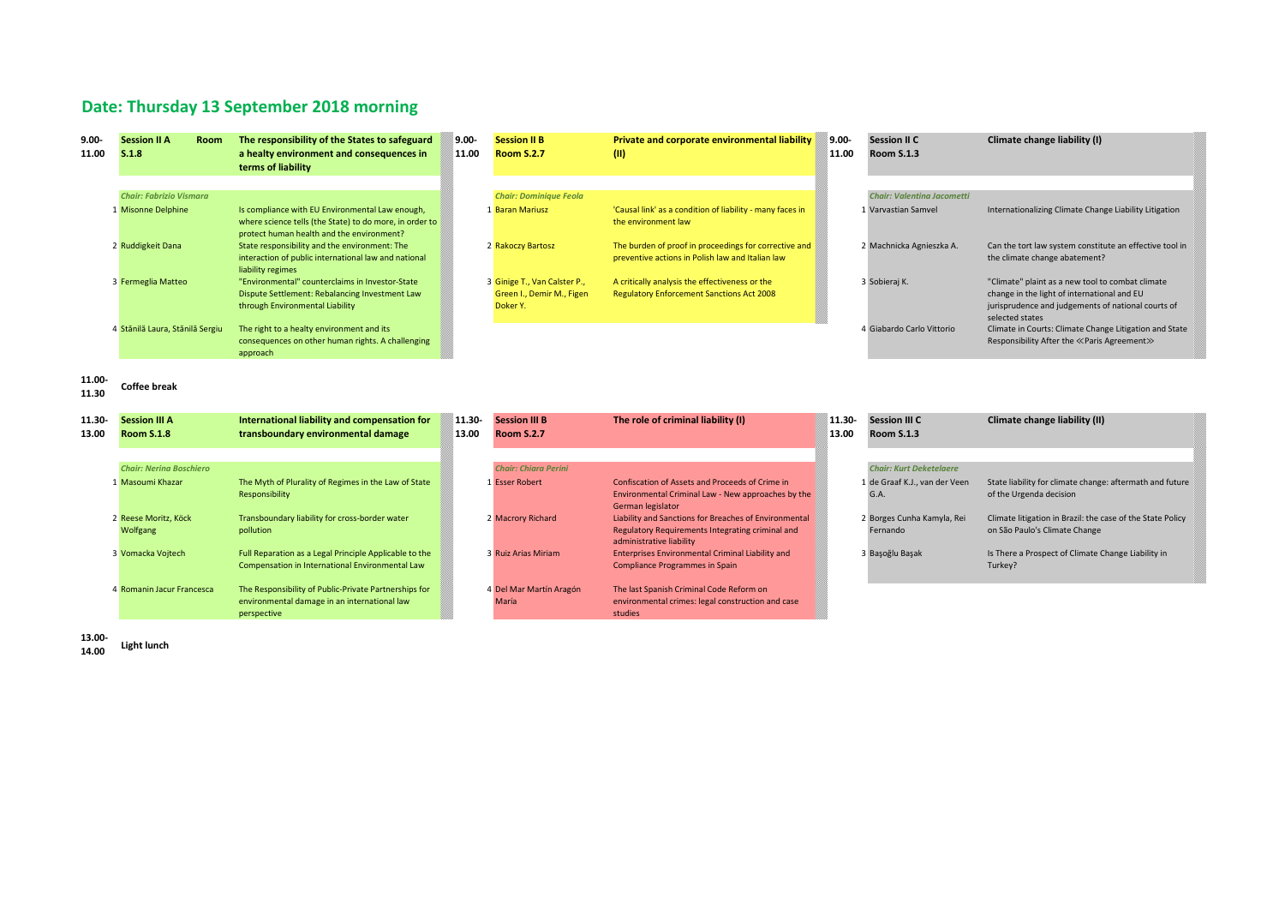## **Date: Thursday 13 September 2018 morning**

| $9.00 -$<br>11.00 | <b>Session II A</b><br>S.1.8     | <b>Room</b> | The responsibility of the States to safeguard<br>a healty environment and consequences in<br>terms of liability                                         | 9.00-<br>11.00 | <b>Session II B</b><br><b>Room S.2.7</b>                              | Private and corporate environmental liability<br>(11)                                                                                 | 9.00-<br>11.00 | <b>Session II C</b><br><b>Room S.1.3</b> | Climate change liability (I)                                                                                                                                             |  |
|-------------------|----------------------------------|-------------|---------------------------------------------------------------------------------------------------------------------------------------------------------|----------------|-----------------------------------------------------------------------|---------------------------------------------------------------------------------------------------------------------------------------|----------------|------------------------------------------|--------------------------------------------------------------------------------------------------------------------------------------------------------------------------|--|
|                   |                                  |             |                                                                                                                                                         |                |                                                                       |                                                                                                                                       |                |                                          |                                                                                                                                                                          |  |
|                   | <b>Chair: Fabrizio Vismara</b>   |             |                                                                                                                                                         |                | <b>Chair: Dominique Feola</b>                                         |                                                                                                                                       |                | <b>Chair: Valentina Jacometti</b>        |                                                                                                                                                                          |  |
|                   | 1 Misonne Delphine               |             | Is compliance with EU Environmental Law enough,<br>where science tells (the State) to do more, in order to<br>protect human health and the environment? |                | 1 Baran Mariusz                                                       | 'Causal link' as a condition of liability - many faces in<br>the environment law                                                      |                | 1 Varvastian Samvel                      | Internationalizing Climate Change Liability Litigation                                                                                                                   |  |
|                   | 2 Ruddigkeit Dana                |             | State responsibility and the environment: The<br>interaction of public international law and national<br>liability regimes                              |                | 2 Rakoczy Bartosz                                                     | The burden of proof in proceedings for corrective and<br>preventive actions in Polish law and Italian law                             |                | 2 Machnicka Agnieszka A.                 | Can the tort law system constitute an effective tool in<br>the climate change abatement?                                                                                 |  |
|                   | 3 Fermeglia Matteo               |             | "Environmental" counterclaims in Investor-State<br>Dispute Settlement: Rebalancing Investment Law<br>through Environmental Liability                    |                | 3 Ginige T., Van Calster P.,<br>Green I., Demir M., Figen<br>Doker Y. | A critically analysis the effectiveness or the<br><b>Regulatory Enforcement Sanctions Act 2008</b>                                    |                | 3 Sobieraj K.                            | "Climate" plaint as a new tool to combat climate<br>change in the light of international and EU<br>jurisprudence and judgements of national courts of<br>selected states |  |
|                   | 4 Stănilă Laura, Stănilă Sergiu  |             | The right to a healty environment and its<br>consequences on other human rights. A challenging<br>approach                                              |                |                                                                       |                                                                                                                                       |                | 4 Giabardo Carlo Vittorio                | Climate in Courts: Climate Change Litigation and State<br>Responsibility After the «Paris Agreement»                                                                     |  |
| 11.00-<br>11.30   | <b>Coffee break</b>              |             |                                                                                                                                                         |                |                                                                       |                                                                                                                                       |                |                                          |                                                                                                                                                                          |  |
| 11.30-            | <b>Session III A</b>             |             | International liability and compensation for                                                                                                            | 11.30-         | <b>Session III B</b>                                                  | The role of criminal liability (I)                                                                                                    | 11.30-         | <b>Session III C</b>                     | Climate change liability (II)                                                                                                                                            |  |
| 13.00             | <b>Room S.1.8</b>                |             | transboundary environmental damage                                                                                                                      | 13.00          | <b>Room S.2.7</b>                                                     |                                                                                                                                       | 13.00          | <b>Room S.1.3</b>                        |                                                                                                                                                                          |  |
|                   |                                  |             |                                                                                                                                                         |                |                                                                       |                                                                                                                                       |                |                                          |                                                                                                                                                                          |  |
|                   | <b>Chair: Nerina Boschiero</b>   |             |                                                                                                                                                         |                |                                                                       |                                                                                                                                       |                | <b>Chair: Kurt Deketelaere</b>           |                                                                                                                                                                          |  |
|                   |                                  |             |                                                                                                                                                         |                | <b>Chair: Chiara Perini</b>                                           |                                                                                                                                       |                |                                          |                                                                                                                                                                          |  |
|                   | 1 Masoumi Khazar                 |             | The Myth of Plurality of Regimes in the Law of State<br>Responsibility                                                                                  |                | 1 Esser Robert                                                        | Confiscation of Assets and Proceeds of Crime in<br>Environmental Criminal Law - New approaches by the<br>German legislator            |                | 1 de Graaf K.J., van der Veen<br>G.A.    | State liability for climate change: aftermath and future<br>of the Urgenda decision                                                                                      |  |
|                   | 2 Reese Moritz, Köck<br>Wolfgang |             | Transboundary liability for cross-border water<br>pollution                                                                                             |                | 2 Macrory Richard                                                     | Liability and Sanctions for Breaches of Environmental<br>Regulatory Requirements Integrating criminal and<br>administrative liability |                | 2 Borges Cunha Kamyla, Rei<br>Fernando   | Climate litigation in Brazil: the case of the State Policy<br>on São Paulo's Climate Change                                                                              |  |
|                   | 3 Vomacka Vojtech                |             | Full Reparation as a Legal Principle Applicable to the<br>Compensation in International Environmental Law                                               |                | 3 Ruiz Arias Miriam                                                   | Enterprises Environmental Criminal Liability and<br><b>Compliance Programmes in Spain</b>                                             |                | 3 Başoğlu Başak                          | Is There a Prospect of Climate Change Liability in<br>Turkey?                                                                                                            |  |
|                   | 4 Romanin Jacur Francesca        |             | The Responsibility of Public-Private Partnerships for<br>environmental damage in an international law<br>perspective                                    |                | 4 Del Mar Martín Aragón<br>María                                      | The last Spanish Criminal Code Reform on<br>environmental crimes: legal construction and case<br>studies                              |                |                                          |                                                                                                                                                                          |  |

**13.00- 14.00 Light lunch**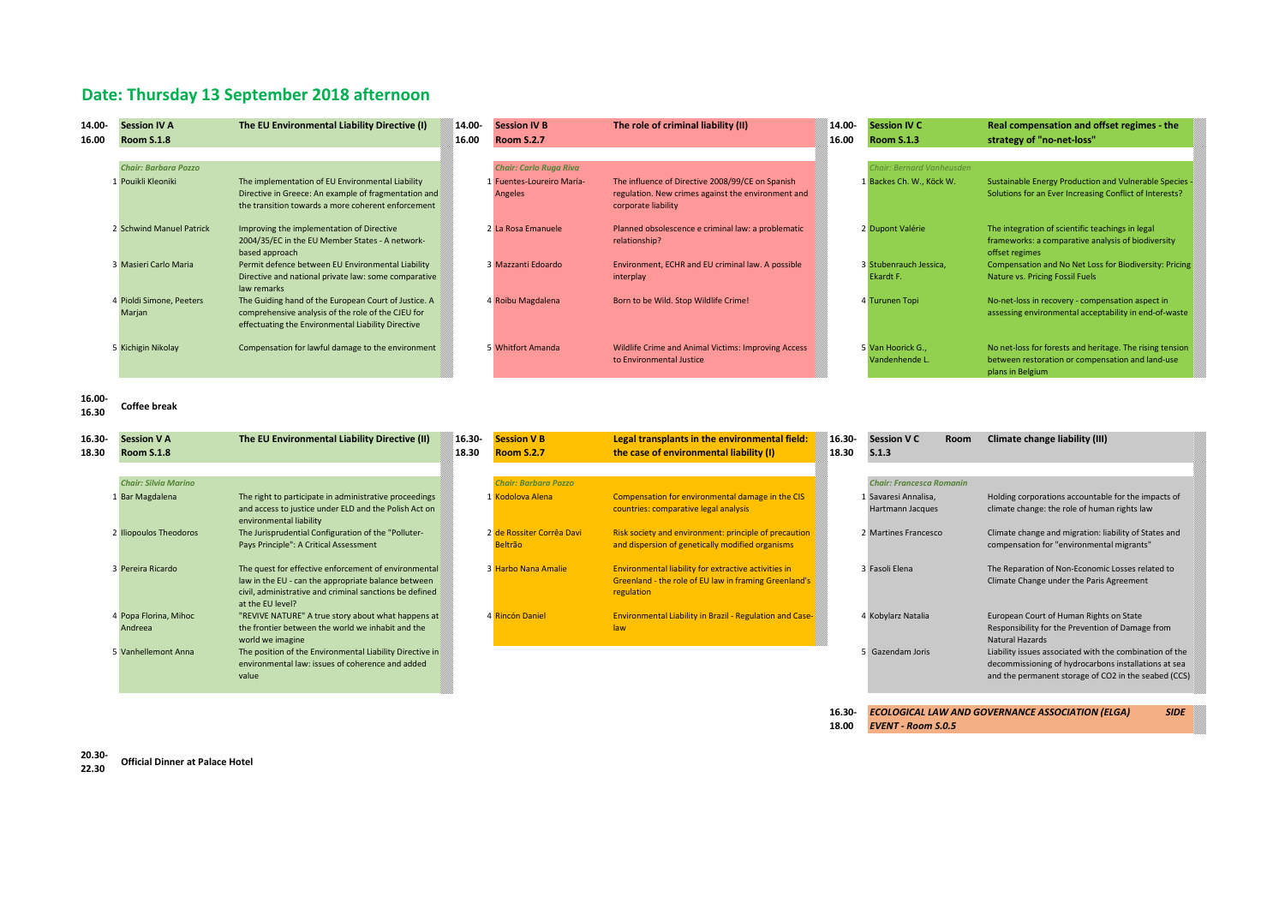### **Date: Thursday 13 September 2018 afternoon**

| 14.00- | <b>Session IV A</b>         | The EU Environmental Liability Directive (I)                                                 | 14.00- | <b>Session IV B</b>           | The role of criminal liability (II)                                 | 14.00- | <b>Session IV C</b>      | Real compensation and offset regimes - the                                                             |
|--------|-----------------------------|----------------------------------------------------------------------------------------------|--------|-------------------------------|---------------------------------------------------------------------|--------|--------------------------|--------------------------------------------------------------------------------------------------------|
| 16.00  | <b>Room S.1.8</b>           |                                                                                              | 16.00  | <b>Room S.2.7</b>             |                                                                     | 16.00  | <b>Room S.1.3</b>        | strategy of "no-net-loss"                                                                              |
|        |                             |                                                                                              |        |                               |                                                                     |        |                          |                                                                                                        |
|        | <b>Chair: Barbara Pozzo</b> |                                                                                              |        | <b>Chair: Carlo Ruga Riva</b> |                                                                     |        | hair: Bernard Vanheusden |                                                                                                        |
|        | 1 Pouikli Kleoniki          | The implementation of EU Environmental Liability                                             |        | 1 Fuentes-Loureiro María-     | The influence of Directive 2008/99/CE on Spanish                    |        | 1 Backes Ch. W., Köck W. | Sustainable Energy Production and Vulnerable Species                                                   |
|        |                             | Directive in Greece: An example of fragmentation and                                         |        | Angeles                       | regulation. New crimes against the environment and                  |        |                          | Solutions for an Ever Increasing Conflict of Interests?                                                |
|        |                             | the transition towards a more coherent enforcement                                           |        |                               | corporate liability                                                 |        |                          |                                                                                                        |
|        |                             |                                                                                              |        |                               |                                                                     |        |                          |                                                                                                        |
|        | 2 Schwind Manuel Patrick    | Improving the implementation of Directive<br>2004/35/EC in the EU Member States - A network- |        | 2 La Rosa Emanuele            | Planned obsolescence e criminal law: a problematic<br>relationship? |        | 2 Dupont Valérie         | The integration of scientific teachings in legal<br>frameworks: a comparative analysis of biodiversity |
|        |                             | based approach                                                                               |        |                               |                                                                     |        |                          | offset regimes                                                                                         |
|        | 3 Masieri Carlo Maria       | Permit defence between EU Environmental Liability                                            |        | 3 Mazzanti Edoardo            | Environment, ECHR and EU criminal law. A possible                   |        | 3 Stubenrauch Jessica.   | Compensation and No Net Loss for Biodiversity: Pricing                                                 |
|        |                             | Directive and national private law: some comparative                                         |        |                               | interplay                                                           |        | Ekardt F.                | Nature vs. Pricing Fossil Fuels                                                                        |
|        |                             | law remarks                                                                                  |        |                               |                                                                     |        |                          |                                                                                                        |
|        | 4 Pioldi Simone, Peeters    | The Guiding hand of the European Court of Justice. A                                         |        | 4 Roibu Magdalena             | Born to be Wild. Stop Wildlife Crime!                               |        | 4 Turunen Topi           | No-net-loss in recovery - compensation aspect in                                                       |
|        | Marjan                      | comprehensive analysis of the role of the CJEU for                                           |        |                               |                                                                     |        |                          | assessing environmental acceptability in end-of-waste                                                  |
|        |                             | effectuating the Environmental Liability Directive                                           |        |                               |                                                                     |        |                          |                                                                                                        |
|        | 5 Kichigin Nikolay          | Compensation for lawful damage to the environment                                            |        | 5 Whitfort Amanda             | Wildlife Crime and Animal Victims: Improving Access                 |        | 5 Van Hoorick G.,        | No net-loss for forests and heritage. The rising tension                                               |
|        |                             |                                                                                              |        |                               | to Environmental Justice                                            |        | Vandenhende L.           | between restoration or compensation and land-use                                                       |
|        |                             |                                                                                              |        |                               |                                                                     |        |                          | plans in Belgium                                                                                       |
|        |                             |                                                                                              |        |                               |                                                                     |        |                          |                                                                                                        |
| 16.00- |                             |                                                                                              |        |                               |                                                                     |        |                          |                                                                                                        |
| 16.30  | <b>Coffee break</b>         |                                                                                              |        |                               |                                                                     |        |                          |                                                                                                        |

| 16.30-<br>18.30 | <b>Session V A</b><br><b>Room S.1.8</b> | The EU Environmental Liability Directive (II)                                    | 16.30-<br>18.30 | <b>Session V B</b><br><b>Room S.2.7</b> | Legal transplants in the environmental field:<br>the case of environmental liability (I) | 16.30-<br>18.30 | <b>Session V C</b><br>S.1.3     | Room | Climate change liability (III)                          |
|-----------------|-----------------------------------------|----------------------------------------------------------------------------------|-----------------|-----------------------------------------|------------------------------------------------------------------------------------------|-----------------|---------------------------------|------|---------------------------------------------------------|
|                 |                                         |                                                                                  |                 |                                         |                                                                                          |                 |                                 |      |                                                         |
|                 | <b>Chair: Silvia Marino</b>             |                                                                                  |                 | <b>Chair: Barbara Pozzo</b>             |                                                                                          |                 | <b>Chair: Francesca Romanin</b> |      |                                                         |
|                 | 1 Bar Magdalena                         | The right to participate in administrative proceedings                           |                 | 1 Kodolova Alena                        | Compensation for environmental damage in the CIS                                         |                 | 1 Savaresi Annalisa,            |      | Holding corporations accountable for the impacts of     |
|                 |                                         | and access to justice under ELD and the Polish Act on<br>environmental liability |                 |                                         | countries: comparative legal analysis                                                    |                 | Hartmann Jacques                |      | climate change: the role of human rights law            |
|                 | 2 Iliopoulos Theodoros                  | The Jurisprudential Configuration of the "Polluter-                              |                 | 2 de Rossiter Corrêa Davi               | Risk society and environment: principle of precaution                                    |                 | 2 Martines Francesco            |      | Climate change and migration: liability of States and   |
|                 |                                         | Pays Principle": A Critical Assessment                                           |                 | <b>Beltrão</b>                          | and dispersion of genetically modified organisms                                         |                 |                                 |      | compensation for "environmental migrants"               |
|                 | 3 Pereira Ricardo                       | The quest for effective enforcement of environmental                             |                 | 3 Harbo Nana Amalie                     | Environmental liability for extractive activities in                                     |                 | 3 Fasoli Elena                  |      | The Reparation of Non-Economic Losses related to        |
|                 |                                         | law in the EU - can the appropriate balance between                              |                 |                                         | Greenland - the role of EU law in framing Greenland's                                    |                 |                                 |      | Climate Change under the Paris Agreement                |
|                 |                                         | civil, administrative and criminal sanctions be defined<br>at the EU level?      |                 |                                         | regulation                                                                               |                 |                                 |      |                                                         |
|                 | 4 Popa Florina, Mihoc                   | "REVIVE NATURE" A true story about what happens at                               |                 | 4 Rincón Daniel                         | <b>Environmental Liability in Brazil - Regulation and Case-</b>                          |                 | 4 Kobylarz Natalia              |      | European Court of Human Rights on State                 |
|                 | Andreea                                 | the frontier between the world we inhabit and the                                |                 |                                         | law                                                                                      |                 |                                 |      | Responsibility for the Prevention of Damage from        |
|                 |                                         | world we imagine                                                                 |                 |                                         |                                                                                          |                 |                                 |      | Natural Hazards                                         |
|                 | 5 Vanhellemont Anna                     | The position of the Environmental Liability Directive in                         |                 |                                         |                                                                                          |                 | 5 Gazendam Joris                |      | Liability issues associated with the combination of the |
|                 |                                         | environmental law: issues of coherence and added<br>value                        |                 |                                         |                                                                                          |                 |                                 |      | decommissioning of hydrocarbons installations at sea    |
|                 |                                         |                                                                                  |                 |                                         |                                                                                          |                 |                                 |      | and the permanent storage of CO2 in the seabed (CCS)    |

**16.30-** *ECOLOGICAL LAW AND GOVERNANCE ASSOCIATION (ELGA) SIDE* 

**18.00** *EVENT - Room S.0.5*

**20.30- 22.30 Official Dinner at Palace Hotel**